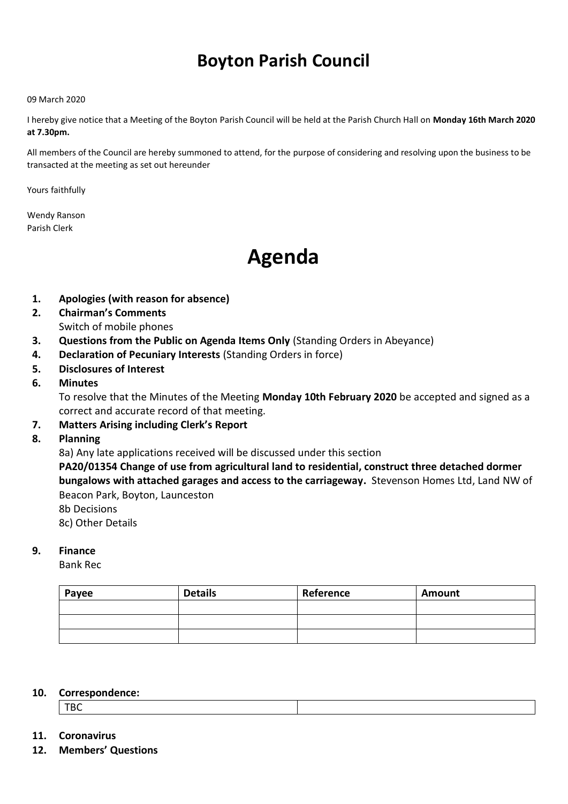# **Boyton Parish Council**

#### 09 March 2020

I hereby give notice that a Meeting of the Boyton Parish Council will be held at the Parish Church Hall on **Monday 16th March 2020 at 7.30pm.** 

All members of the Council are hereby summoned to attend, for the purpose of considering and resolving upon the business to be transacted at the meeting as set out hereunder

Yours faithfully

Wendy Ranson Parish Clerk

# **Agenda**

- **1. Apologies (with reason for absence)**
- **2. Chairman's Comments** Switch of mobile phones
- **3. Questions from the Public on Agenda Items Only** (Standing Orders in Abeyance)
- **4. Declaration of Pecuniary Interests** (Standing Orders in force)
- **5. Disclosures of Interest**
- **6. Minutes**

To resolve that the Minutes of the Meeting **Monday 10th February 2020** be accepted and signed as a correct and accurate record of that meeting.

- **7. Matters Arising including Clerk's Report**
- **8. Planning**

8a) Any late applications received will be discussed under this section

**PA20/01354 Change of use from agricultural land to residential, construct three detached dormer bungalows with attached garages and access to the carriageway.** Stevenson Homes Ltd, Land NW of Beacon Park, Boyton, Launceston

8b Decisions 8c) Other Details

## **9. Finance**

Bank Rec

| Payee | <b>Details</b> | Reference | <b>Amount</b> |
|-------|----------------|-----------|---------------|
|       |                |           |               |
|       |                |           |               |
|       |                |           |               |

#### **10. Correspondence:**

TBC

### **11. Coronavirus**

**12. Members' Questions**